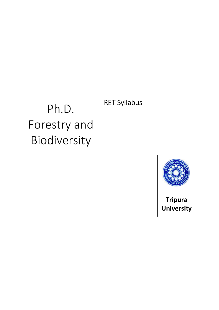# Ph.D. Forestry and Biodiversity

# RET Syllabus



Tripura **University**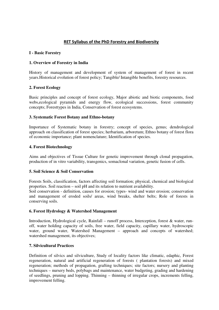# RET Syllabus of the PhD Forestry and Biodiversity

#### **I - Basic Forestry**

### **1. Overview of Forestry in India**

History of management and development of system of management of forest in recent years.Historical evolution of forest policy; Tangible/ Intangible benefits, forestry resources.

#### **2. Forest Ecology**

Basic principles and concept of forest ecology, Major abiotic and biotic components, food webs,ecological pyramids and energy flow, ecological successions, forest community concepts; Foresttypes in India, Conservation of forest ecosystems.

#### **3. Systematic Forest Botany and Ethno-botany**

Importance of Systematic botany in forestry; concept of species, genus; dendrological approach on classification of forest species; herbarium, arboretum; Ethno botany of forest flora of economic importance; plant nomenclature; Identification of species.

#### **4. Forest Biotechnology**

Aims and objectives of Tissue Culture for genetic improvement through clonal propagation, production of in vitro variability, transgenics, somaclonal variation, genetic fusion of cells.

#### **5. Soil Science & Soil Conservation**

Forests Soils, classification, factors affecting soil formation; physical, chemical and biological properties. Soil reaction – soil pH and its relation to nutrient availability.

Soil conservation - definition, causes for erosion; types- wind and water erosion; conservation and management of eroded soils/ areas, wind breaks, shelter belts; Role of forests in conserving soils.

#### **6. Forest Hydrology & Watershed Management**

Introduction, Hydrological cycle, Rainfall – runoff process, Interception, forest & water, runoff, water holding capacity of soils, free water, field capacity, capillary water, hydroscopic water, ground water, Watershed Management – approach and concepts of watershed; watershed management, its objectives;

#### **7. Silvicultural Practices**

Definition of silvics and silviculture, Study of locality factors like climatic, edaphic, Forest regeneration, natural and artificial regeneration of forests ( plantation forests) and mixed regeneration; methods of propagation, grafting techniques; site factors; nursery and planting techniques – nursery beds, polybags and maintenance, water budgeting, grading and hardening of seedlings, pruning and lopping. Thinning – thinning of irregular crops, increments felling, improvement felling.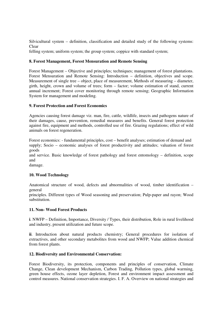Silvicultural system – definition, classification and detailed study of the following systems: Clear

felling system; uniform system; the group system; coppice with standard system;

#### **8. Forest Management, Forest Mensuration and Remote Sensing**

Forest Management – Objective and principles; techniques; management of forest plantations. Forest Mensuration and Remote Sensing: Introduction – definition, objectives and scope. Measurement of single tree – object, place of measurement, Methods of measuring – diameter, girth, height, crown and volume of trees; form – factor; volume estimation of stand, current annual increment; Forest cover monitoring through remote sensing; Geographic Information System for management and modeling.

#### **9. Forest Protection and Forest Economics**

Agencies causing forest damage viz. man, fire, cattle, wildlife, insects and pathogens nature of their damages, cause, prevention, remedial measures and benefits. General forest protection against fire, equipment and methods, controlled use of fire. Grazing regulations; effect of wild animals on forest regeneration.

Forest economics: - fundamental principles, cost – benefit analyses; estimation of demand and supply; Socio – economic analyses of forest productivity and attitudes; valuation of forest goods

and service. Basic knowledge of forest pathology and forest entomology – definition, scope and

damage.

## **10. Wood Technology**

Anatomical structure of wood, defects and abnormalities of wood, timber identification – general

principles. Different types of Wood seasoning and preservation; Pulp-paper and rayon; Wood substitution.

#### **11. Non- Wood Forest Products**

**i**. NWFP – Definition, Importance, Diversity / Types, their distribution, Role in rural livelihood and industry, present utilization and future scope.

**ii**. Introduction about natural products chemistry; General procedures for isolation of extractives, and other secondary metabolites from wood and NWFP; Value addition chemical from forest plants.

#### **12. Biodiversity and Environmental Conservation:**

Forest Biodiversity, its protection, components and principles of conservation, Climate Change, Clean development Mechanism, Carbon Trading, Pollution types, global warming, green house effects, ozone layer depletion, Forest and environment impact assessment and control measures. National conservation strategies. I. F. A. Overview on national strategies and